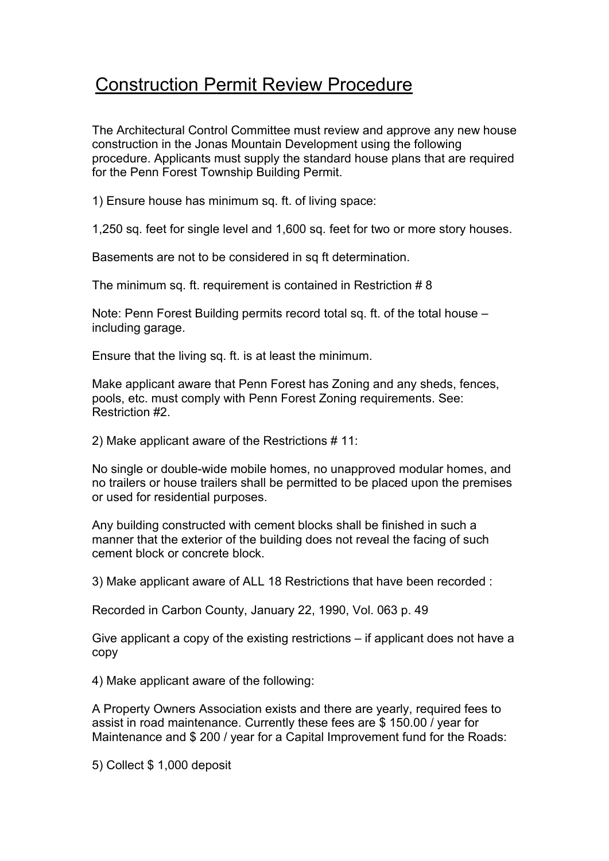## Construction Permit Review Procedure

The Architectural Control Committee must review and approve any new house construction in the Jonas Mountain Development using the following procedure. Applicants must supply the standard house plans that are required for the Penn Forest Township Building Permit.

1) Ensure house has minimum sq. ft. of living space:

1,250 sq. feet for single level and 1,600 sq. feet for two or more story houses.

Basements are not to be considered in sq ft determination.

The minimum sq. ft. requirement is contained in Restriction # 8

Note: Penn Forest Building permits record total sq. ft. of the total house – including garage.

Ensure that the living sq. ft. is at least the minimum.

Make applicant aware that Penn Forest has Zoning and any sheds, fences, pools, etc. must comply with Penn Forest Zoning requirements. See: Restriction #2.

2) Make applicant aware of the Restrictions # 11:

No single or double-wide mobile homes, no unapproved modular homes, and no trailers or house trailers shall be permitted to be placed upon the premises or used for residential purposes.

Any building constructed with cement blocks shall be finished in such a manner that the exterior of the building does not reveal the facing of such cement block or concrete block.

3) Make applicant aware of ALL 18 Restrictions that have been recorded :

Recorded in Carbon County, January 22, 1990, Vol. 063 p. 49

Give applicant a copy of the existing restrictions – if applicant does not have a copy

4) Make applicant aware of the following:

A Property Owners Association exists and there are yearly, required fees to assist in road maintenance. Currently these fees are \$ 150.00 / year for Maintenance and \$200 / year for a Capital Improvement fund for the Roads:

5) Collect \$ 1,000 deposit